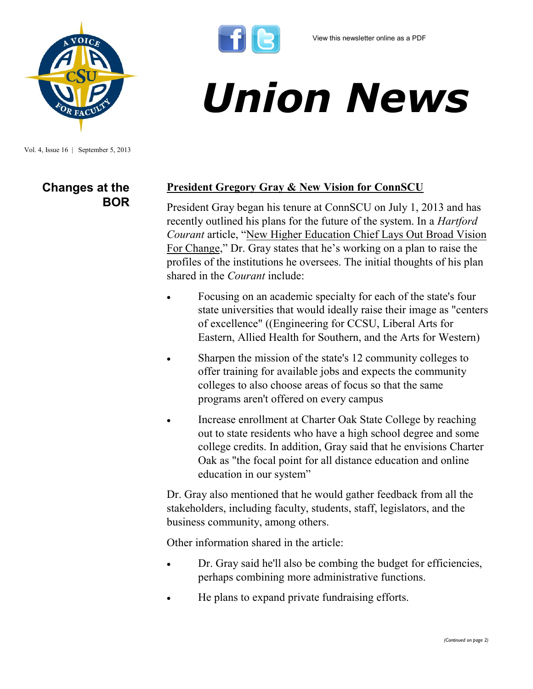

*Union News*

Vol. 4, Issue 16 | September 5, 2013

# **Changes at the BOR**

#### **President Gregory Gray & New Vision for ConnSCU**

President Gray began his tenure at ConnSCU on July 1, 2013 and has recently outlined his plans for the future of the system. In a *Hartford Courant* article, "[New Higher Education Chief Lays Out Broad Vision](http://www.courant.com/news/education/hc-regents-new-plan-0829-20130828,0,7120446,full.story)  [For Change](http://www.courant.com/news/education/hc-regents-new-plan-0829-20130828,0,7120446,full.story)," Dr. Gray states that he's working on a plan to raise the profiles of the institutions he oversees. The initial thoughts of his plan shared in the *Courant* include:

- Focusing on an academic specialty for each of the state's four state universities that would ideally raise their image as "centers of excellence" ((Engineering for CCSU, Liberal Arts for Eastern, Allied Health for Southern, and the Arts for Western)
- Sharpen the mission of the state's 12 community colleges to offer training for available jobs and expects the community colleges to also choose areas of focus so that the same programs aren't offered on every campus
- Increase enrollment at Charter Oak State College by reaching out to state residents who have a high school degree and some college credits. In addition, Gray said that he envisions Charter Oak as "the focal point for all distance education and online education in our system"

Dr. Gray also mentioned that he would gather feedback from all the stakeholders, including faculty, students, staff, legislators, and the business community, among others.

Other information shared in the article:

- Dr. Gray said he'll also be combing the budget for efficiencies, perhaps combining more administrative functions.
- He plans to expand private fundraising efforts.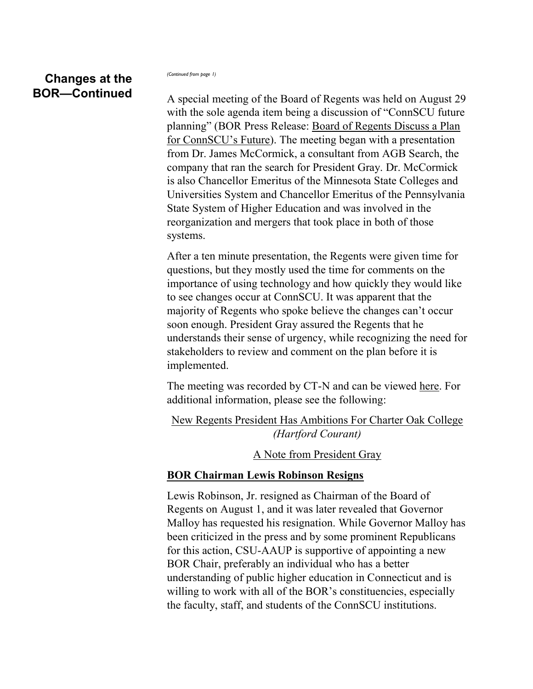## **Changes at the BOR—Continued**

*(Continued from page 1)*

A special meeting of the Board of Regents was held on August 29 with the sole agenda item being a discussion of "ConnSCU future planning" (BOR Press Release: [Board of Regents Discuss a Plan](http://www.ct.edu/newsroom/board_of_regents_discuss_a_plan_for_connscus_future)  [for ConnSCU's Future](http://www.ct.edu/newsroom/board_of_regents_discuss_a_plan_for_connscus_future)). The meeting began with a presentation from Dr. James McCormick, a consultant from AGB Search, the company that ran the search for President Gray. Dr. McCormick is also Chancellor Emeritus of the Minnesota State Colleges and Universities System and Chancellor Emeritus of the Pennsylvania State System of Higher Education and was involved in the reorganization and mergers that took place in both of those systems.

After a ten minute presentation, the Regents were given time for questions, but they mostly used the time for comments on the importance of using technology and how quickly they would like to see changes occur at ConnSCU. It was apparent that the majority of Regents who spoke believe the changes can't occur soon enough. President Gray assured the Regents that he understands their sense of urgency, while recognizing the need for stakeholders to review and comment on the plan before it is implemented.

The meeting was recorded by CT-N and can be viewed [here.](http://www.ct-n.com/ctnplayer.asp?odID=9362) For additional information, please see the following:

[New Regents President Has Ambitions For Charter Oak College](http://www.courant.com/news/education/hc-charter-oak-state-college-0902-20130830,0,7221412.story) *(Hartford Courant)*

[A Note from President Gray](http://www.ct.edu/files/update/Sept-2013.html)

#### **BOR Chairman Lewis Robinson Resigns**

Lewis Robinson, Jr. resigned as Chairman of the Board of Regents on August 1, and it was later revealed that Governor Malloy has requested his resignation. While Governor Malloy has been criticized in the press and by some prominent Republicans for this action, CSU-AAUP is supportive of appointing a new BOR Chair, preferably an individual who has a better understanding of public higher education in Connecticut and is willing to work with all of the BOR's constituencies, especially the faculty, staff, and students of the ConnSCU institutions.